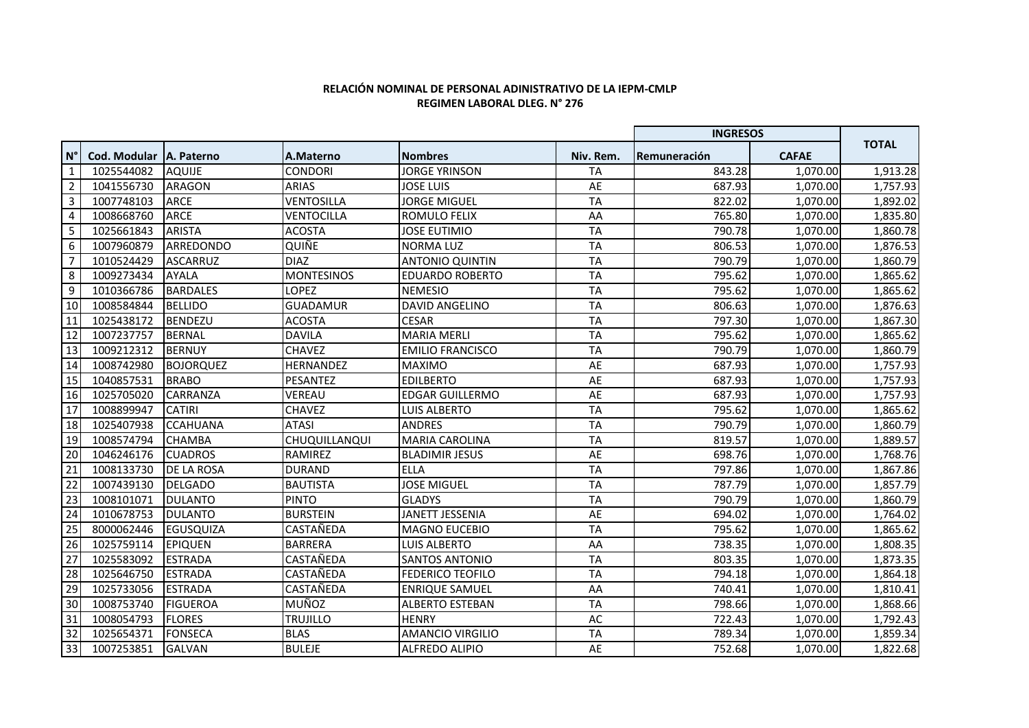## **RELACIÓN NOMINAL DE PERSONAL ADINISTRATIVO DE LA IEPM-CMLP REGIMEN LABORAL DLEG. N° 276**

|                    |                     |                    |                   |                         |           | <b>INGRESOS</b> |              |              |
|--------------------|---------------------|--------------------|-------------------|-------------------------|-----------|-----------------|--------------|--------------|
| $\mathsf{N}^\circ$ | <b>Cod. Modular</b> | <b>IA. Paterno</b> | A.Materno         | <b>Nombres</b>          | Niv. Rem. | Remuneración    | <b>CAFAE</b> | <b>TOTAL</b> |
| $\mathbf{1}$       | 1025544082          | <b>AQUIJE</b>      | CONDORI           | <b>JORGE YRINSON</b>    | <b>TA</b> | 843.28          | 1.070.00     | 1,913.28     |
| $\overline{2}$     | 1041556730          | ARAGON             | <b>ARIAS</b>      | <b>JOSE LUIS</b>        | AE        | 687.93          | 1,070.00     | 1,757.93     |
| 3                  | 1007748103          | <b>ARCE</b>        | VENTOSILLA        | <b>JORGE MIGUEL</b>     | <b>TA</b> | 822.02          | 1,070.00     | 1,892.02     |
| 4                  | 1008668760          | ARCE               | <b>VENTOCILLA</b> | <b>ROMULO FELIX</b>     | AA        | 765.80          | 1,070.00     | 1,835.80     |
| 5                  | 1025661843          | <b>ARISTA</b>      | <b>ACOSTA</b>     | <b>JOSE EUTIMIO</b>     | <b>TA</b> | 790.78          | 1,070.00     | 1,860.78     |
| 6                  | 1007960879          | ARREDONDO          | <b>QUIÑE</b>      | <b>NORMA LUZ</b>        | <b>TA</b> | 806.53          | 1,070.00     | 1,876.53     |
| $\overline{7}$     | 1010524429          | ASCARRUZ           | <b>DIAZ</b>       | <b>ANTONIO QUINTIN</b>  | <b>TA</b> | 790.79          | 1,070.00     | 1,860.79     |
| 8                  | 1009273434          | <b>AYALA</b>       | <b>MONTESINOS</b> | <b>EDUARDO ROBERTO</b>  | <b>TA</b> | 795.62          | 1,070.00     | 1,865.62     |
| 9                  | 1010366786          | <b>BARDALES</b>    | LOPEZ             | <b>NEMESIO</b>          | <b>TA</b> | 795.62          | 1,070.00     | 1,865.62     |
| 10                 | 1008584844          | <b>BELLIDO</b>     | <b>GUADAMUR</b>   | <b>DAVID ANGELINO</b>   | <b>TA</b> | 806.63          | 1,070.00     | 1,876.63     |
| 11                 | 1025438172          | <b>BENDEZU</b>     | <b>ACOSTA</b>     | <b>CESAR</b>            | <b>TA</b> | 797.30          | 1,070.00     | 1,867.30     |
| 12                 | 1007237757          | <b>BERNAL</b>      | <b>DAVILA</b>     | <b>MARIA MERLI</b>      | <b>TA</b> | 795.62          | 1,070.00     | 1,865.62     |
| 13                 | 1009212312          | <b>BERNUY</b>      | <b>CHAVEZ</b>     | <b>EMILIO FRANCISCO</b> | <b>TA</b> | 790.79          | 1,070.00     | 1,860.79     |
| 14                 | 1008742980          | <b>BOJORQUEZ</b>   | <b>HERNANDEZ</b>  | <b>MAXIMO</b>           | AE        | 687.93          | 1,070.00     | 1,757.93     |
| 15                 | 1040857531          | <b>BRABO</b>       | PESANTEZ          | <b>EDILBERTO</b>        | AE        | 687.93          | 1,070.00     | 1,757.93     |
| 16                 | 1025705020          | <b>CARRANZA</b>    | VEREAU            | <b>EDGAR GUILLERMO</b>  | AE        | 687.93          | 1,070.00     | 1,757.93     |
| 17                 | 1008899947          | <b>CATIRI</b>      | <b>CHAVEZ</b>     | <b>LUIS ALBERTO</b>     | <b>TA</b> | 795.62          | 1,070.00     | 1,865.62     |
| 18                 | 1025407938          | <b>CCAHUANA</b>    | <b>ATASI</b>      | <b>ANDRES</b>           | <b>TA</b> | 790.79          | 1,070.00     | 1,860.79     |
| 19                 | 1008574794          | <b>CHAMBA</b>      | CHUQUILLANQUI     | <b>MARIA CAROLINA</b>   | <b>TA</b> | 819.57          | 1,070.00     | 1,889.57     |
| $\overline{20}$    | 1046246176          | <b>CUADROS</b>     | <b>RAMIREZ</b>    | <b>BLADIMIR JESUS</b>   | AE        | 698.76          | 1,070.00     | 1,768.76     |
| $\overline{21}$    | 1008133730          | DE LA ROSA         | <b>DURAND</b>     | <b>ELLA</b>             | <b>TA</b> | 797.86          | 1.070.00     | 1,867.86     |
| 22                 | 1007439130          | <b>DELGADO</b>     | <b>BAUTISTA</b>   | <b>JOSE MIGUEL</b>      | <b>TA</b> | 787.79          | 1,070.00     | 1,857.79     |
| $\overline{23}$    | 1008101071          | <b>DULANTO</b>     | <b>PINTO</b>      | <b>GLADYS</b>           | <b>TA</b> | 790.79          | 1,070.00     | 1,860.79     |
| $\overline{24}$    | 1010678753          | <b>DULANTO</b>     | <b>BURSTEIN</b>   | JANETT JESSENIA         | AE        | 694.02          | 1,070.00     | 1,764.02     |
| $\overline{25}$    | 8000062446          | <b>EGUSQUIZA</b>   | CASTAÑEDA         | <b>MAGNO EUCEBIO</b>    | <b>TA</b> | 795.62          | 1,070.00     | 1,865.62     |
| 26                 | 1025759114          | <b>EPIQUEN</b>     | <b>BARRERA</b>    | <b>LUIS ALBERTO</b>     | AA        | 738.35          | 1,070.00     | 1,808.35     |
| $\overline{27}$    | 1025583092          | <b>ESTRADA</b>     | CASTAÑEDA         | <b>SANTOS ANTONIO</b>   | <b>TA</b> | 803.35          | 1,070.00     | 1,873.35     |
| 28                 | 1025646750          | <b>ESTRADA</b>     | CASTAÑEDA         | <b>FEDERICO TEOFILO</b> | <b>TA</b> | 794.18          | 1,070.00     | 1,864.18     |
| 29                 | 1025733056          | <b>ESTRADA</b>     | CASTAÑEDA         | <b>ENRIQUE SAMUEL</b>   | AA        | 740.41          | 1,070.00     | 1,810.41     |
| 30                 | 1008753740          | <b>FIGUEROA</b>    | <b>MUÑOZ</b>      | <b>ALBERTO ESTEBAN</b>  | <b>TA</b> | 798.66          | 1,070.00     | 1,868.66     |
| 31                 | 1008054793          | <b>FLORES</b>      | <b>TRUJILLO</b>   | <b>HENRY</b>            | AC        | 722.43          | 1,070.00     | 1,792.43     |
| 32                 | 1025654371          | <b>FONSECA</b>     | <b>BLAS</b>       | <b>AMANCIO VIRGILIO</b> | <b>TA</b> | 789.34          | 1,070.00     | 1,859.34     |
| 33                 | 1007253851          | <b>GALVAN</b>      | <b>BULEJE</b>     | <b>ALFREDO ALIPIO</b>   | AE        | 752.68          | 1,070.00     | 1,822.68     |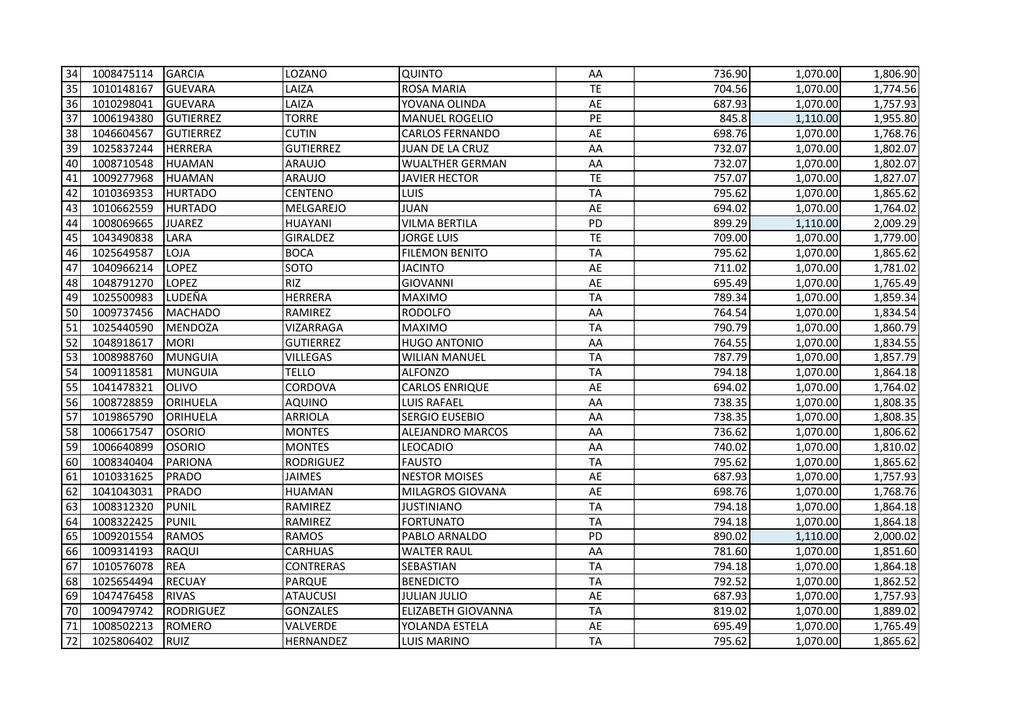| 34              | 1008475114 GARCIA |                  | LOZANO           | <b>QUINTO</b>          | AA              | 736.90 | 1,070.00 | 1,806.90 |
|-----------------|-------------------|------------------|------------------|------------------------|-----------------|--------|----------|----------|
| 35              | 1010148167        | GUEVARA          | LAIZA            | <b>ROSA MARIA</b>      | <b>TE</b>       | 704.56 | 1,070.00 | 1,774.56 |
| 36              | 1010298041        | GUEVARA          | LAIZA            | YOVANA OLINDA          | AE              | 687.93 | 1,070.00 | 1,757.93 |
| $\overline{37}$ | 1006194380        | <b>GUTIERREZ</b> | <b>TORRE</b>     | <b>MANUEL ROGELIO</b>  | $\overline{PE}$ | 845.8  | 1,110.00 | 1,955.80 |
| 38              | 1046604567        | GUTIERREZ        | <b>CUTIN</b>     | <b>CARLOS FERNANDO</b> | AE              | 698.76 | 1,070.00 | 1,768.76 |
| 39              | 1025837244        | HERRERA          | <b>GUTIERREZ</b> | JUAN DE LA CRUZ        | AA              | 732.07 | 1,070.00 | 1,802.07 |
| 40              | 1008710548        | HUAMAN           | <b>ARAUJO</b>    | <b>WUALTHER GERMAN</b> | AA              | 732.07 | 1,070.00 | 1,802.07 |
| 41              | 1009277968        | HUAMAN           | <b>ARAUJO</b>    | <b>JAVIER HECTOR</b>   | TE              | 757.07 | 1,070.00 | 1,827.07 |
| 42              | 1010369353        | <b>HURTADO</b>   | <b>CENTENO</b>   | LUIS                   | <b>TA</b>       | 795.62 | 1,070.00 | 1,865.62 |
| 43              | 1010662559        | <b>IHURTADO</b>  | MELGAREJO        | <b>JUAN</b>            | AE              | 694.02 | 1,070.00 | 1,764.02 |
| 44              | 1008069665        | <b>JUAREZ</b>    | <b>HUAYANI</b>   | <b>VILMA BERTILA</b>   | PD              | 899.29 | 1,110.00 | 2,009.29 |
| 45              | 1043490838        | LARA             | <b>GIRALDEZ</b>  | <b>JORGE LUIS</b>      | TE              | 709.00 | 1,070.00 | 1,779.00 |
| 46              | 1025649587        | LOJA             | <b>BOCA</b>      | <b>FILEMON BENITO</b>  | <b>TA</b>       | 795.62 | 1,070.00 | 1,865.62 |
| 47              | 1040966214        | <b>LOPEZ</b>     | <b>SOTO</b>      | <b>JACINTO</b>         | AE              | 711.02 | 1,070.00 | 1,781.02 |
| 48              | 1048791270        | <b>LOPEZ</b>     | <b>RIZ</b>       | <b>GIOVANNI</b>        | AE              | 695.49 | 1,070.00 | 1,765.49 |
| 49              | 1025500983        | LUDEÑA           | <b>HERRERA</b>   | <b>MAXIMO</b>          | <b>TA</b>       | 789.34 | 1,070.00 | 1,859.34 |
| 50              | 1009737456        | MACHADO          | RAMIREZ          | <b>RODOLFO</b>         | AA              | 764.54 | 1,070.00 | 1,834.54 |
| 51              | 1025440590        | MENDOZA          | VIZARRAGA        | <b>MAXIMO</b>          | <b>TA</b>       | 790.79 | 1,070.00 | 1,860.79 |
| 52              | 1048918617        | <b>IMORI</b>     | <b>GUTIERREZ</b> | <b>HUGO ANTONIO</b>    | AA              | 764.55 | 1,070.00 | 1,834.55 |
| 53              | 1008988760        | MUNGUIA          | <b>VILLEGAS</b>  | <b>WILIAN MANUEL</b>   | <b>TA</b>       | 787.79 | 1,070.00 | 1,857.79 |
| 54              | 1009118581        | MUNGUIA          | TELLO            | <b>ALFONZO</b>         | <b>TA</b>       | 794.18 | 1,070.00 | 1,864.18 |
| 55              | 1041478321        | IOLIVO           | CORDOVA          | <b>CARLOS ENRIQUE</b>  | AE              | 694.02 | 1,070.00 | 1,764.02 |
| 56              | 1008728859        | ORIHUELA         | <b>AQUINO</b>    | <b>LUIS RAFAEL</b>     | AA              | 738.35 | 1,070.00 | 1,808.35 |
| 57              | 1019865790        | ORIHUELA         | <b>ARRIOLA</b>   | <b>SERGIO EUSEBIO</b>  | AA              | 738.35 | 1,070.00 | 1,808.35 |
| 58              | 1006617547        | <b>OSORIO</b>    | <b>MONTES</b>    | ALEJANDRO MARCOS       | AA              | 736.62 | 1,070.00 | 1,806.62 |
| 59              | 1006640899        | <b>OSORIO</b>    | <b>MONTES</b>    | <b>LEOCADIO</b>        | AA              | 740.02 | 1,070.00 | 1,810.02 |
| 60              | 1008340404        | PARIONA          | <b>RODRIGUEZ</b> | <b>FAUSTO</b>          | <b>TA</b>       | 795.62 | 1,070.00 | 1,865.62 |
| 61              | 1010331625        | PRADO            | <b>JAIMES</b>    | <b>NESTOR MOISES</b>   | AE              | 687.93 | 1,070.00 | 1,757.93 |
| 62              | 1041043031        | PRADO            | <b>HUAMAN</b>    | MILAGROS GIOVANA       | AE              | 698.76 | 1,070.00 | 1,768.76 |
| 63              | 1008312320        | PUNIL            | RAMIREZ          | <b>JUSTINIANO</b>      | <b>TA</b>       | 794.18 | 1,070.00 | 1,864.18 |
| 64              | 1008322425        | PUNIL            | RAMIREZ          | <b>FORTUNATO</b>       | <b>TA</b>       | 794.18 | 1,070.00 | 1,864.18 |
| 65              | 1009201554        | RAMOS            | <b>RAMOS</b>     | PABLO ARNALDO          | PD              | 890.02 | 1,110.00 | 2,000.02 |
| 66              | 1009314193        | <b>RAQUI</b>     | <b>CARHUAS</b>   | <b>WALTER RAUL</b>     | AA              | 781.60 | 1,070.00 | 1,851.60 |
| 67              | 1010576078        | <b>REA</b>       | <b>CONTRERAS</b> | SEBASTIAN              | <b>TA</b>       | 794.18 | 1,070.00 | 1,864.18 |
| 68              | 1025654494        | <b>RECUAY</b>    | <b>PARQUE</b>    | <b>BENEDICTO</b>       | <b>TA</b>       | 792.52 | 1,070.00 | 1,862.52 |
| 69              | 1047476458        | <b>RIVAS</b>     | <b>ATAUCUSI</b>  | <b>JULIAN JULIO</b>    | AE              | 687.93 | 1,070.00 | 1,757.93 |
| 70              | 1009479742        | RODRIGUEZ        | <b>GONZALES</b>  | ELIZABETH GIOVANNA     | <b>TA</b>       | 819.02 | 1,070.00 | 1,889.02 |
| 71              | 1008502213        | ROMERO           | VALVERDE         | YOLANDA ESTELA         | AE              | 695.49 | 1,070.00 | 1,765.49 |
| 72              | 1025806402        | <b>RUIZ</b>      | <b>HERNANDEZ</b> | <b>LUIS MARINO</b>     | <b>TA</b>       | 795.62 | 1,070.00 | 1,865.62 |